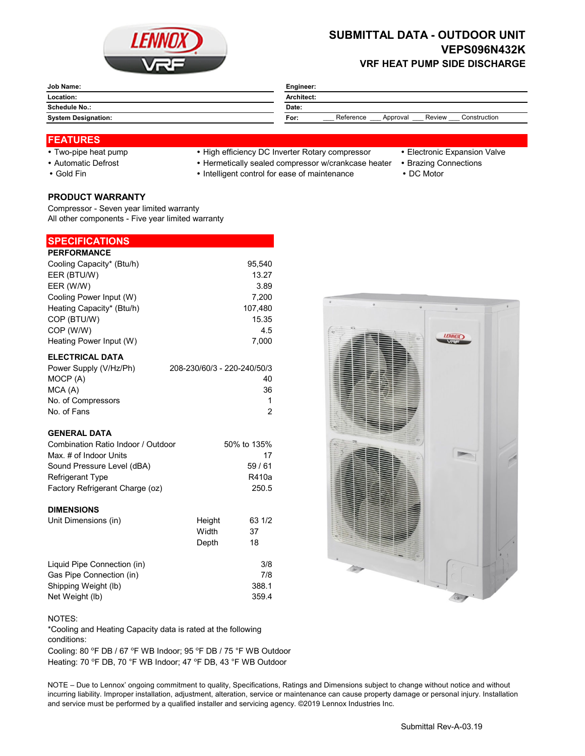

# **SUBMITTAL DATA - OUTDOOR UNIT VEPS096N432K VRF HEAT PUMP SIDE DISCHARGE**

| Job Name:                  | Engineer:                                               |  |  |  |  |
|----------------------------|---------------------------------------------------------|--|--|--|--|
| Location:                  | Architect:                                              |  |  |  |  |
| <b>Schedule No.:</b>       | Date:                                                   |  |  |  |  |
| <b>System Designation:</b> | Construction<br>Reference<br>Review<br>Approval<br>For: |  |  |  |  |

### **FEATURES**

- 
- 
- 

# • Two-pipe heat pump • High efficiency DC Inverter Rotary compressor • Electronic Expansion Valve

- Automatic Defrost **Automatic Defrost Hermetically sealed compressor w/crankcase heater** Brazing Connections
- Gold Fin **Intelligent control for ease of maintenance** DC Motor
- 
- -

**PRODUCT WARRANTY** Compressor - Seven year limited warranty All other components - Five year limited warranty

### **SPECIFICATIONS**

| <b>PERFORMANCE</b>        |         |
|---------------------------|---------|
| Cooling Capacity* (Btu/h) | 95.540  |
| EER (BTU/W)               | 13.27   |
| EER (W/W)                 | 3.89    |
| Cooling Power Input (W)   | 7,200   |
| Heating Capacity* (Btu/h) | 107.480 |
| COP (BTU/W)               | 15.35   |
| COP (W/W)                 | 4.5     |
| Heating Power Input (W)   | 7.000   |
| <b>ELECTRICAL DATA</b>    |         |

| Power Supply (V/Hz/Ph) | 208-230/60/3 - 220-240/50/3 |
|------------------------|-----------------------------|
| MOCP (A)               | 40                          |
| MCA (A)                | 36                          |
| No. of Compressors     |                             |
| No. of Fans            | 2                           |

#### **GENERAL DATA**

| Combination Ratio Indoor / Outdoor | 50% to 135% |
|------------------------------------|-------------|
| Max. # of Indoor Units             | 17          |
| Sound Pressure Level (dBA)         | 59/61       |
| <b>Refrigerant Type</b>            | R410a       |
| Factory Refrigerant Charge (oz)    | 250.5       |

#### **DIMENSIONS**

| Unit Dimensions (in)        | Height | 63 1/2 |
|-----------------------------|--------|--------|
|                             | Width  | 37     |
|                             | Depth  | 18     |
| Liquid Pipe Connection (in) |        | 3/8    |
| Gas Pipe Connection (in)    |        | 7/8    |
| Shipping Weight (lb)        |        | 388.1  |
| Net Weight (lb)             |        | 359.4  |



#### NOTES:

\*Cooling and Heating Capacity data is rated at the following conditions:

Cooling: 80 °F DB / 67 °F WB Indoor; 95 °F DB / 75 °F WB Outdoor Heating: 70 °F DB, 70 °F WB Indoor; 47 °F DB, 43 °F WB Outdoor

NOTE – Due to Lennox' ongoing commitment to quality, Specifications, Ratings and Dimensions subject to change without notice and without incurring liability. Improper installation, adjustment, alteration, service or maintenance can cause property damage or personal injury. Installation and service must be performed by a qualified installer and servicing agency. ©2019 Lennox Industries Inc.